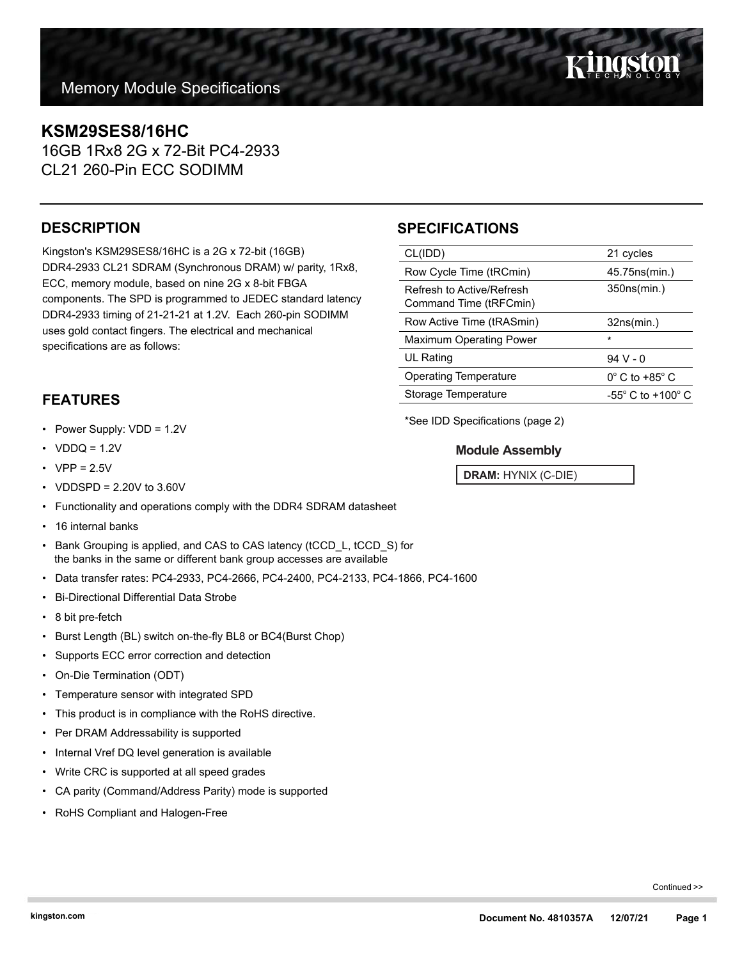## **KSM29SES8/16HC**

16GB 1Rx8 2G x 72-Bit PC4-2933 CL21 260-Pin ECC SODIMM

### **DESCRIPTION**

Kingston's KSM29SES8/16HC is a 2G x 72-bit (16GB) DDR4-2933 CL21 SDRAM (Synchronous DRAM) w/ parity, 1Rx8, ECC, memory module, based on nine 2G x 8-bit FBGA components. The SPD is programmed to JEDEC standard latency DDR4-2933 timing of 21-21-21 at 1.2V. Each 260-pin SODIMM uses gold contact fingers. The electrical and mechanical specifications are as follows:

## **SPECIFICATIONS**

| CL(IDD)                                             | 21 cycles                             |
|-----------------------------------------------------|---------------------------------------|
| Row Cycle Time (tRCmin)                             | 45.75ns(min.)                         |
| Refresh to Active/Refresh<br>Command Time (tRFCmin) | 350ns(min.)                           |
| Row Active Time (tRASmin)                           | 32ns(min.)                            |
| <b>Maximum Operating Power</b>                      | $\star$                               |
| UL Rating                                           | $94V - 0$                             |
| <b>Operating Temperature</b>                        | $0^{\circ}$ C to +85 $^{\circ}$ C     |
| Storage Temperature                                 | -55 $^{\circ}$ C to +100 $^{\circ}$ C |
|                                                     |                                       |

**FEATURES**

- Power Supply: VDD = 1.2V
- $VDDQ = 1.2V$
- $VPP = 2.5V$
- VDDSPD = 2.20V to 3.60V
- Functionality and operations comply with the DDR4 SDRAM datasheet
- 16 internal banks
- Bank Grouping is applied, and CAS to CAS latency (tCCD\_L, tCCD\_S) for the banks in the same or different bank group accesses are available
- Data transfer rates: PC4-2933, PC4-2666, PC4-2400, PC4-2133, PC4-1866, PC4-1600
- Bi-Directional Differential Data Strobe
- 8 bit pre-fetch
- Burst Length (BL) switch on-the-fly BL8 or BC4(Burst Chop)
- Supports ECC error correction and detection
- On-Die Termination (ODT)
- Temperature sensor with integrated SPD
- This product is in compliance with the RoHS directive.
- Per DRAM Addressability is supported
- Internal Vref DQ level generation is available
- Write CRC is supported at all speed grades
- CA parity (Command/Address Parity) mode is supported
- RoHS Compliant and Halogen-Free

\*See IDD Specifications (page 2)

#### **Module Assembly**

**DRAM:** HYNIX (C-DIE)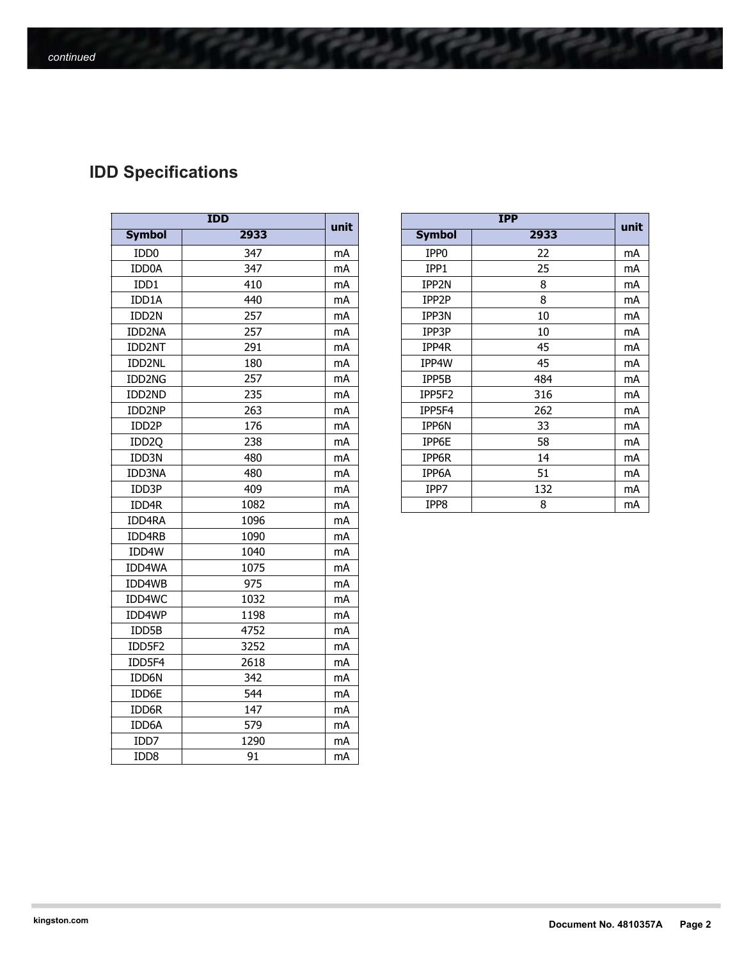# **IDD Specifications**

| <b>IDD</b>        |      |      |  |  |
|-------------------|------|------|--|--|
| <b>Symbol</b>     | 2933 | unit |  |  |
| IDD <sub>0</sub>  | 347  | mA   |  |  |
| IDD0A             | 347  | mA   |  |  |
| IDD1              | 410  | mA   |  |  |
| IDD1A             | 440  | mA   |  |  |
| IDD2N             | 257  | mA   |  |  |
| IDD2NA            | 257  | mA   |  |  |
| IDD2NT            | 291  | mA   |  |  |
| IDD2NL            | 180  | mA   |  |  |
| IDD2NG            | 257  | mA   |  |  |
| IDD2ND            | 235  | mA   |  |  |
| IDD2NP            | 263  | mA   |  |  |
| IDD2P             | 176  | mA   |  |  |
| IDD <sub>20</sub> | 238  | mA   |  |  |
| IDD3N             | 480  | mA   |  |  |
| IDD3NA            | 480  | mA   |  |  |
| IDD3P             | 409  | mA   |  |  |
| IDD4R             | 1082 | mA   |  |  |
| IDD4RA            | 1096 | mA   |  |  |
| IDD4RB            | 1090 | mA   |  |  |
| IDD4W             | 1040 | mA   |  |  |
| IDD4WA            | 1075 | mA   |  |  |
| IDD4WB            | 975  | mA   |  |  |
| IDD4WC            | 1032 | mA   |  |  |
| IDD4WP            | 1198 | mA   |  |  |
| IDD5B             | 4752 | mA   |  |  |
| IDD5F2            | 3252 | mA   |  |  |
| IDD5F4            | 2618 | mA   |  |  |
| IDD6N             | 342  | mA   |  |  |
| IDD6E             | 544  | mA   |  |  |
| IDD6R             | 147  | mA   |  |  |
| IDD6A             | 579  | mA   |  |  |
| IDD7              | 1290 | mA   |  |  |
| IDD8              | 91   | mA   |  |  |

| <b>IDD</b>         |      | unit | <b>IPP</b> |                  | unit |    |
|--------------------|------|------|------------|------------------|------|----|
| <b>Symbol</b>      | 2933 |      |            | <b>Symbol</b>    | 2933 |    |
| IDD <sub>0</sub>   | 347  | mA   |            | IPP <sub>0</sub> | 22   | mA |
| IDD0A              | 347  | mA   |            | IPP1             | 25   | mA |
| IDD1               | 410  | mA   |            | IPP2N            | 8    | mA |
| IDD1A              | 440  | mA   |            | IPP2P            | 8    | mA |
| IDD <sub>2N</sub>  | 257  | mA   |            | IPP3N            | 10   | mA |
| IDD2NA             | 257  | mA   |            | IPP3P            | 10   | mA |
| <b>IDD2NT</b>      | 291  | mA   |            | IPP4R            | 45   | mA |
| <b>IDD2NL</b>      | 180  | mA   |            | IPP4W            | 45   | mA |
| IDD2NG             | 257  | mA   |            | IPP5B            | 484  | mA |
| IDD2ND             | 235  | mA   |            | IPP5F2           | 316  | mA |
| IDD2NP             | 263  | mA   |            | IPP5F4           | 262  | mA |
| IDD <sub>2</sub> P | 176  | mA   |            | IPP6N            | 33   | mA |
| IDD <sub>2Q</sub>  | 238  | mA   |            | IPP6E            | 58   | mA |
| IDD3N              | 480  | mA   |            | IPP6R            | 14   | mA |
| IDD3NA             | 480  | mA   |            | IPP6A            | 51   | mA |
| IDD3P              | 409  | mA   |            | IPP7             | 132  | mA |
| IDD4R              | 1082 | mA   |            | IPP8             | 8    | mA |